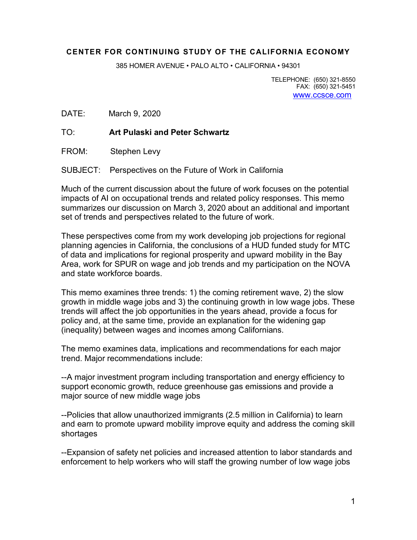#### **CENTER FOR CONTINUING STUDY OF THE CALIFORNIA ECONOMY**

385 HOMER AVENUE • PALO ALTO • CALIFORNIA • 94301

TELEPHONE: (650) 321-8550 FAX: (650) 321-5451 www.ccsce.com

DATE: March 9, 2020

TO: **Art Pulaski and Peter Schwartz**

FROM: Stephen Levy

SUBJECT: Perspectives on the Future of Work in California

Much of the current discussion about the future of work focuses on the potential impacts of AI on occupational trends and related policy responses. This memo summarizes our discussion on March 3, 2020 about an additional and important set of trends and perspectives related to the future of work.

These perspectives come from my work developing job projections for regional planning agencies in California, the conclusions of a HUD funded study for MTC of data and implications for regional prosperity and upward mobility in the Bay Area, work for SPUR on wage and job trends and my participation on the NOVA and state workforce boards.

This memo examines three trends: 1) the coming retirement wave, 2) the slow growth in middle wage jobs and 3) the continuing growth in low wage jobs. These trends will affect the job opportunities in the years ahead, provide a focus for policy and, at the same time, provide an explanation for the widening gap (inequality) between wages and incomes among Californians.

The memo examines data, implications and recommendations for each major trend. Major recommendations include:

--A major investment program including transportation and energy efficiency to support economic growth, reduce greenhouse gas emissions and provide a major source of new middle wage jobs

--Policies that allow unauthorized immigrants (2.5 million in California) to learn and earn to promote upward mobility improve equity and address the coming skill shortages

--Expansion of safety net policies and increased attention to labor standards and enforcement to help workers who will staff the growing number of low wage jobs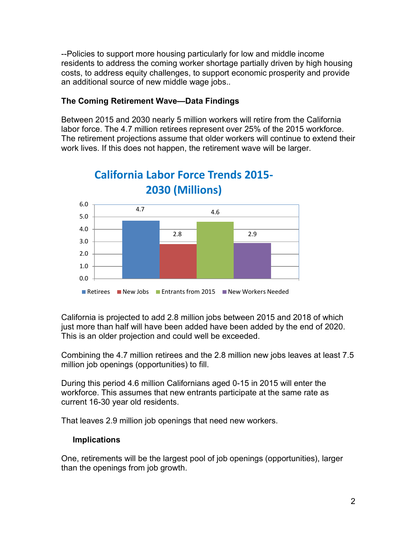--Policies to support more housing particularly for low and middle income residents to address the coming worker shortage partially driven by high housing costs, to address equity challenges, to support economic prosperity and provide an additional source of new middle wage jobs..

#### **The Coming Retirement Wave—Data Findings**

Between 2015 and 2030 nearly 5 million workers will retire from the California labor force. The 4.7 million retirees represent over 25% of the 2015 workforce. The retirement projections assume that older workers will continue to extend their work lives. If this does not happen, the retirement wave will be larger.



# **California Labor Force Trends 2015-**

California is projected to add 2.8 million jobs between 2015 and 2018 of which just more than half will have been added have been added by the end of 2020. This is an older projection and could well be exceeded.

Combining the 4.7 million retirees and the 2.8 million new jobs leaves at least 7.5 million job openings (opportunities) to fill.

During this period 4.6 million Californians aged 0-15 in 2015 will enter the workforce. This assumes that new entrants participate at the same rate as current 16-30 year old residents.

That leaves 2.9 million job openings that need new workers.

#### **Implications**

One, retirements will be the largest pool of job openings (opportunities), larger than the openings from job growth.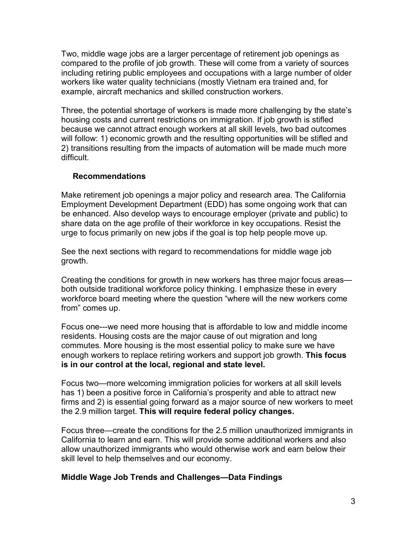Two, middle wage jobs are a larger percentage of retirement job openings as compared to the profile of job growth. These will come from a variety of sources including retiring public employees and occupations with a large number of older workers like water quality technicians (mostly Vietnam era trained and, for example, aircraft mechanics and skilled construction workers.

Three, the potential shortage of workers is made more challenging by the state's housing costs and current restrictions on immigration. If job growth is stifled because we cannot attract enough workers at all skill levels, two bad outcomes will follow: 1) economic growth and the resulting opportunities will be stifled and 2) transitions resulting from the impacts of automation will be made much more difficult.

#### **Recommendations**

Make retirement job openings a major policy and research area. The California Employment Development Department (EDD) has some ongoing work that can be enhanced. Also develop ways to encourage employer (private and public) to share data on the age profile of their workforce in key occupations. Resist the urge to focus primarily on new jobs if the goal is top help people move up.

See the next sections with regard to recommendations for middle wage job growth.

Creating the conditions for growth in new workers has three major focus areas both outside traditional workforce policy thinking. I emphasize these in every workforce board meeting where the question "where will the new workers come from" comes up.

Focus one---we need more housing that is affordable to low and middle income residents. Housing costs are the major cause of out migration and long commutes. More housing is the most essential policy to make sure we have enough workers to replace retiring workers and support job growth. **This focus is in our control at the local, regional and state level.**

Focus two—more welcoming immigration policies for workers at all skill levels has 1) been a positive force in California's prosperity and able to attract new firms and 2) is essential going forward as a major source of new workers to meet the 2.9 million target. **This will require federal policy changes.**

Focus three—create the conditions for the 2.5 million unauthorized immigrants in California to learn and earn. This will provide some additional workers and also allow unauthorized immigrants who would otherwise work and earn below their skill level to help themselves and our economy.

#### **Middle Wage Job Trends and Challenges—Data Findings**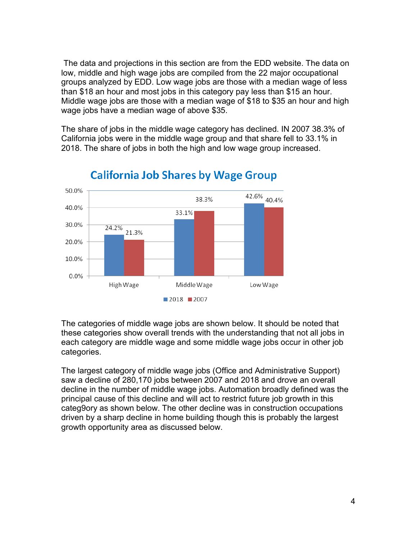The data and projections in this section are from the EDD website. The data on low, middle and high wage jobs are compiled from the 22 major occupational groups analyzed by EDD. Low wage jobs are those with a median wage of less than \$18 an hour and most jobs in this category pay less than \$15 an hour. Middle wage jobs are those with a median wage of \$18 to \$35 an hour and high wage jobs have a median wage of above \$35.

The share of jobs in the middle wage category has declined. IN 2007 38.3% of California jobs were in the middle wage group and that share fell to 33.1% in 2018. The share of jobs in both the high and low wage group increased.



### **California Job Shares by Wage Group**

The categories of middle wage jobs are shown below. It should be noted that these categories show overall trends with the understanding that not all jobs in each category are middle wage and some middle wage jobs occur in other job categories.

The largest category of middle wage jobs (Office and Administrative Support) saw a decline of 280,170 jobs between 2007 and 2018 and drove an overall decline in the number of middle wage jobs. Automation broadly defined was the principal cause of this decline and will act to restrict future job growth in this categ9ory as shown below. The other decline was in construction occupations driven by a sharp decline in home building though this is probably the largest growth opportunity area as discussed below.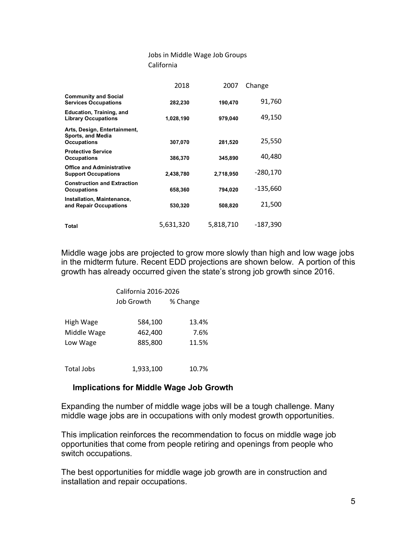#### Jobs in Middle Wage Job Groups California

|                                                                         | 2018      | 2007      | Change     |
|-------------------------------------------------------------------------|-----------|-----------|------------|
| <b>Community and Social</b><br><b>Services Occupations</b>              | 282,230   | 190,470   | 91,760     |
| Education, Training, and<br><b>Library Occupations</b>                  | 1,028,190 | 979,040   | 49,150     |
| Arts, Design, Entertainment,<br>Sports, and Media<br><b>Occupations</b> | 307,070   | 281,520   | 25,550     |
| <b>Protective Service</b><br><b>Occupations</b>                         | 386,370   | 345,890   | 40,480     |
| <b>Office and Administrative</b><br><b>Support Occupations</b>          | 2,438,780 | 2,718,950 | $-280,170$ |
| <b>Construction and Extraction</b><br><b>Occupations</b>                | 658,360   | 794,020   | $-135.660$ |
| Installation, Maintenance,<br>and Repair Occupations                    | 530,320   | 508,820   | 21,500     |
| Total                                                                   | 5,631,320 | 5,818,710 | $-187,390$ |

Middle wage jobs are projected to grow more slowly than high and low wage jobs in the midterm future. Recent EDD projections are shown below. A portion of this growth has already occurred given the state's strong job growth since 2016.

|                   | California 2016-2026 |          |  |
|-------------------|----------------------|----------|--|
|                   | Job Growth           | % Change |  |
|                   |                      |          |  |
| High Wage         | 584,100              | 13.4%    |  |
| Middle Wage       | 462,400              | 7.6%     |  |
| Low Wage          | 885,800              | 11.5%    |  |
|                   |                      |          |  |
| <b>Total Jobs</b> | 1,933,100            | 10.7%    |  |

#### **Implications for Middle Wage Job Growth**

Expanding the number of middle wage jobs will be a tough challenge. Many middle wage jobs are in occupations with only modest growth opportunities.

This implication reinforces the recommendation to focus on middle wage job opportunities that come from people retiring and openings from people who switch occupations.

The best opportunities for middle wage job growth are in construction and installation and repair occupations.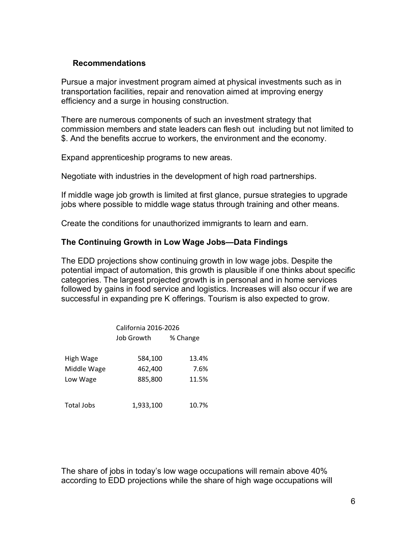#### **Recommendations**

Pursue a major investment program aimed at physical investments such as in transportation facilities, repair and renovation aimed at improving energy efficiency and a surge in housing construction.

There are numerous components of such an investment strategy that commission members and state leaders can flesh out including but not limited to \$. And the benefits accrue to workers, the environment and the economy.

Expand apprenticeship programs to new areas.

Negotiate with industries in the development of high road partnerships.

If middle wage job growth is limited at first glance, pursue strategies to upgrade jobs where possible to middle wage status through training and other means.

Create the conditions for unauthorized immigrants to learn and earn.

#### **The Continuing Growth in Low Wage Jobs—Data Findings**

The EDD projections show continuing growth in low wage jobs. Despite the potential impact of automation, this growth is plausible if one thinks about specific categories. The largest projected growth is in personal and in home services followed by gains in food service and logistics. Increases will also occur if we are successful in expanding pre K offerings. Tourism is also expected to grow.

|                   | California 2016-2026 |          |  |
|-------------------|----------------------|----------|--|
|                   | Job Growth           | % Change |  |
|                   |                      |          |  |
| High Wage         | 584,100              | 13.4%    |  |
| Middle Wage       | 462,400              | 7.6%     |  |
| Low Wage          | 885,800              | 11.5%    |  |
|                   |                      |          |  |
| <b>Total Jobs</b> | 1,933,100            | 10.7%    |  |

The share of jobs in today's low wage occupations will remain above 40% according to EDD projections while the share of high wage occupations will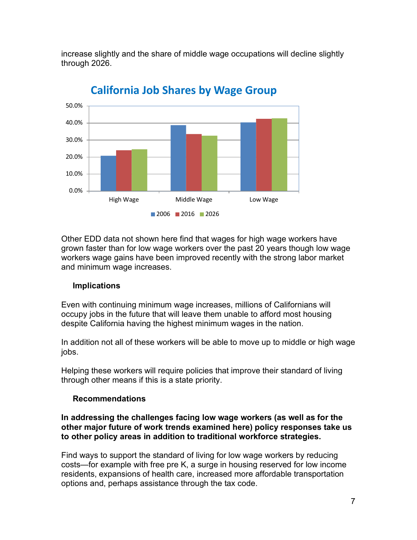increase slightly and the share of middle wage occupations will decline slightly through 2026.



**California Job Shares by Wage Group**

Other EDD data not shown here find that wages for high wage workers have grown faster than for low wage workers over the past 20 years though low wage workers wage gains have been improved recently with the strong labor market and minimum wage increases.

#### **Implications**

Even with continuing minimum wage increases, millions of Californians will occupy jobs in the future that will leave them unable to afford most housing despite California having the highest minimum wages in the nation.

In addition not all of these workers will be able to move up to middle or high wage jobs.

Helping these workers will require policies that improve their standard of living through other means if this is a state priority.

#### **Recommendations**

**In addressing the challenges facing low wage workers (as well as for the other major future of work trends examined here) policy responses take us to other policy areas in addition to traditional workforce strategies.**

Find ways to support the standard of living for low wage workers by reducing costs—for example with free pre K, a surge in housing reserved for low income residents, expansions of health care, increased more affordable transportation options and, perhaps assistance through the tax code.